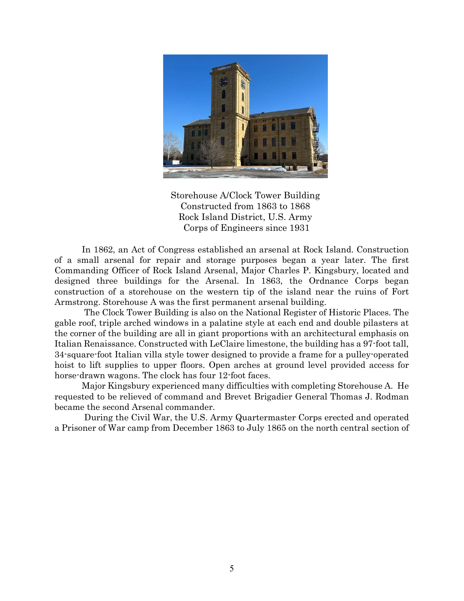

Storehouse A/Clock Tower Building Constructed from 1863 to 1868 Rock Island District, U.S. Army Corps of Engineers since 1931

In 1862, an Act of Congress established an arsenal at Rock Island. Construction of a small arsenal for repair and storage purposes began a year later. The first Commanding Officer of Rock Island Arsenal, Major Charles P. Kingsbury, located and designed three buildings for the Arsenal. In 1863, the Ordnance Corps began construction of a storehouse on the western tip of the island near the ruins of Fort Armstrong. Storehouse A was the first permanent arsenal building.

 The Clock Tower Building is also on the National Register of Historic Places. The gable roof, triple arched windows in a palatine style at each end and double pilasters at the corner of the building are all in giant proportions with an architectural emphasis on Italian Renaissance. Constructed with LeClaire limestone, the building has a 97-foot tall, 34-square-foot Italian villa style tower designed to provide a frame for a pulley-operated hoist to lift supplies to upper floors. Open arches at ground level provided access for horse-drawn wagons. The clock has four 12-foot faces.

Major Kingsbury experienced many difficulties with completing Storehouse A. He requested to be relieved of command and Brevet Brigadier General Thomas J. Rodman became the second Arsenal commander.

 During the Civil War, the U.S. Army Quartermaster Corps erected and operated a Prisoner of War camp from December 1863 to July 1865 on the north central section of